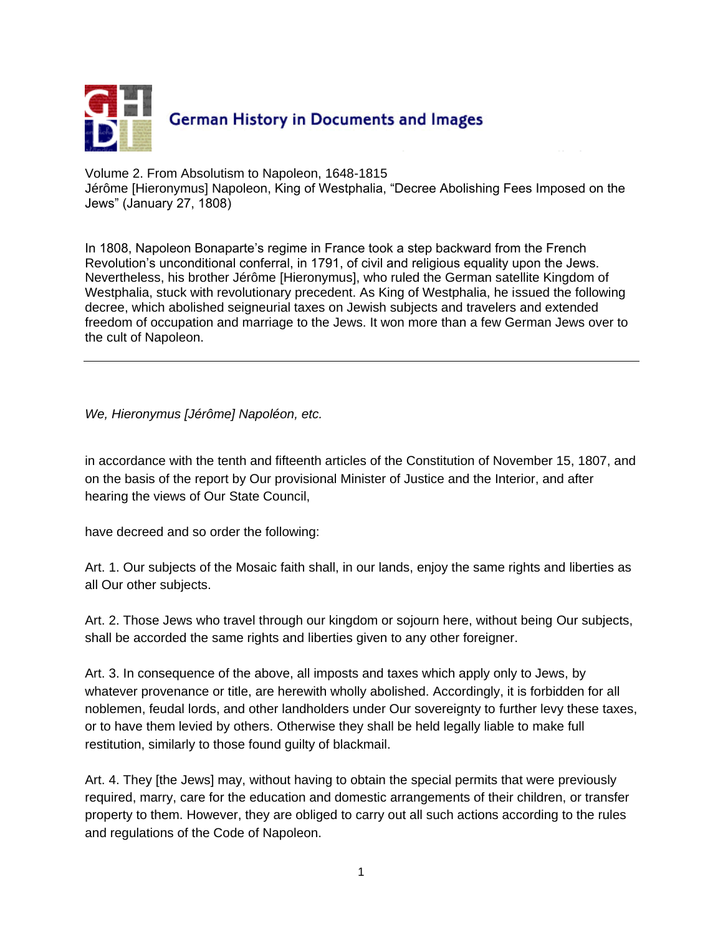

Volume 2. From Absolutism to Napoleon, 1648-1815 Jérôme [Hieronymus] Napoleon, King of Westphalia, "Decree Abolishing Fees Imposed on the Jews" (January 27, 1808)

In 1808, Napoleon Bonaparte's regime in France took a step backward from the French Revolution's unconditional conferral, in 1791, of civil and religious equality upon the Jews. Nevertheless, his brother Jérôme [Hieronymus], who ruled the German satellite Kingdom of Westphalia, stuck with revolutionary precedent. As King of Westphalia, he issued the following decree, which abolished seigneurial taxes on Jewish subjects and travelers and extended freedom of occupation and marriage to the Jews. It won more than a few German Jews over to the cult of Napoleon.

*We, Hieronymus [Jérôme] Napoléon, etc.*

in accordance with the tenth and fifteenth articles of the Constitution of November 15, 1807, and on the basis of the report by Our provisional Minister of Justice and the Interior, and after hearing the views of Our State Council,

have decreed and so order the following:

Art. 1. Our subjects of the Mosaic faith shall, in our lands, enjoy the same rights and liberties as all Our other subjects.

Art. 2. Those Jews who travel through our kingdom or sojourn here, without being Our subjects, shall be accorded the same rights and liberties given to any other foreigner.

Art. 3. In consequence of the above, all imposts and taxes which apply only to Jews, by whatever provenance or title, are herewith wholly abolished. Accordingly, it is forbidden for all noblemen, feudal lords, and other landholders under Our sovereignty to further levy these taxes, or to have them levied by others. Otherwise they shall be held legally liable to make full restitution, similarly to those found guilty of blackmail.

Art. 4. They [the Jews] may, without having to obtain the special permits that were previously required, marry, care for the education and domestic arrangements of their children, or transfer property to them. However, they are obliged to carry out all such actions according to the rules and regulations of the Code of Napoleon.